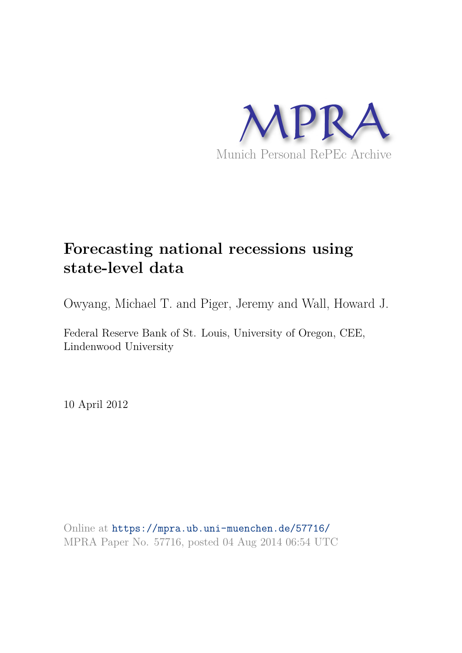

# **Forecasting national recessions using state-level data**

Owyang, Michael T. and Piger, Jeremy and Wall, Howard J.

Federal Reserve Bank of St. Louis, University of Oregon, CEE, Lindenwood University

10 April 2012

Online at https://mpra.ub.uni-muenchen.de/57716/ MPRA Paper No. 57716, posted 04 Aug 2014 06:54 UTC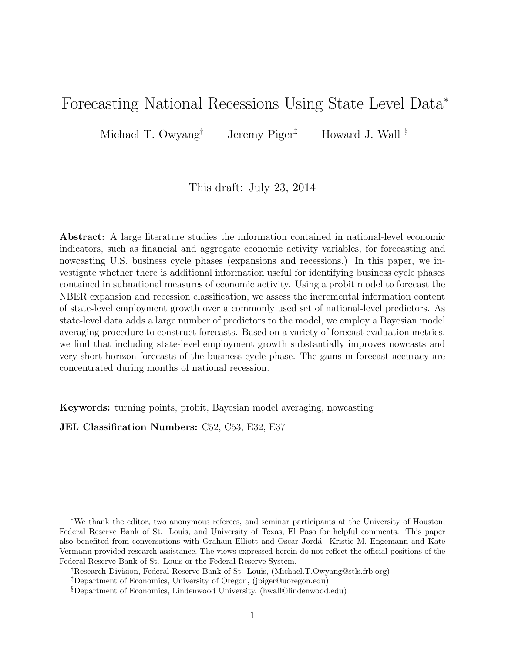# Forecasting National Recessions Using State Level Data<sup>∗</sup>

Michael T. Owyang<sup>†</sup> Jeremy Piger<sup>‡</sup> Howard J. Wall  $\S$ 

This draft: July 23, 2014

Abstract: A large literature studies the information contained in national-level economic indicators, such as financial and aggregate economic activity variables, for forecasting and nowcasting U.S. business cycle phases (expansions and recessions.) In this paper, we investigate whether there is additional information useful for identifying business cycle phases contained in subnational measures of economic activity. Using a probit model to forecast the NBER expansion and recession classification, we assess the incremental information content of state-level employment growth over a commonly used set of national-level predictors. As state-level data adds a large number of predictors to the model, we employ a Bayesian model averaging procedure to construct forecasts. Based on a variety of forecast evaluation metrics, we find that including state-level employment growth substantially improves nowcasts and very short-horizon forecasts of the business cycle phase. The gains in forecast accuracy are concentrated during months of national recession.

Keywords: turning points, probit, Bayesian model averaging, nowcasting

JEL Classification Numbers: C52, C53, E32, E37

<sup>∗</sup>We thank the editor, two anonymous referees, and seminar participants at the University of Houston, Federal Reserve Bank of St. Louis, and University of Texas, El Paso for helpful comments. This paper also benefited from conversations with Graham Elliott and Oscar Jord´a. Kristie M. Engemann and Kate Vermann provided research assistance. The views expressed herein do not reflect the official positions of the Federal Reserve Bank of St. Louis or the Federal Reserve System.

<sup>†</sup>Research Division, Federal Reserve Bank of St. Louis, (Michael.T.Owyang@stls.frb.org)

<sup>‡</sup>Department of Economics, University of Oregon, (jpiger@uoregon.edu)

<sup>§</sup>Department of Economics, Lindenwood University, (hwall@lindenwood.edu)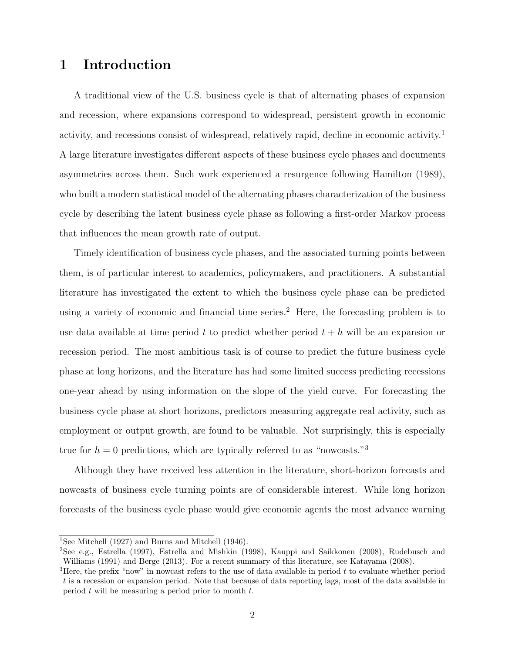# 1 Introduction

A traditional view of the U.S. business cycle is that of alternating phases of expansion and recession, where expansions correspond to widespread, persistent growth in economic activity, and recessions consist of widespread, relatively rapid, decline in economic activity.<sup>1</sup> A large literature investigates different aspects of these business cycle phases and documents asymmetries across them. Such work experienced a resurgence following Hamilton (1989), who built a modern statistical model of the alternating phases characterization of the business cycle by describing the latent business cycle phase as following a first-order Markov process that influences the mean growth rate of output.

Timely identification of business cycle phases, and the associated turning points between them, is of particular interest to academics, policymakers, and practitioners. A substantial literature has investigated the extent to which the business cycle phase can be predicted using a variety of economic and financial time series.<sup>2</sup> Here, the forecasting problem is to use data available at time period t to predict whether period  $t + h$  will be an expansion or recession period. The most ambitious task is of course to predict the future business cycle phase at long horizons, and the literature has had some limited success predicting recessions one-year ahead by using information on the slope of the yield curve. For forecasting the business cycle phase at short horizons, predictors measuring aggregate real activity, such as employment or output growth, are found to be valuable. Not surprisingly, this is especially true for  $h = 0$  predictions, which are typically referred to as "nowcasts."<sup>3</sup>

Although they have received less attention in the literature, short-horizon forecasts and nowcasts of business cycle turning points are of considerable interest. While long horizon forecasts of the business cycle phase would give economic agents the most advance warning

<sup>&</sup>lt;sup>1</sup>See Mitchell (1927) and Burns and Mitchell (1946).

<sup>2</sup>See e.g., Estrella (1997), Estrella and Mishkin (1998), Kauppi and Saikkonen (2008), Rudebusch and Williams (1991) and Berge (2013). For a recent summary of this literature, see Katayama (2008).

<sup>&</sup>lt;sup>3</sup>Here, the prefix "now" in nowcast refers to the use of data available in period  $t$  to evaluate whether period t is a recession or expansion period. Note that because of data reporting lags, most of the data available in period  $t$  will be measuring a period prior to month  $t$ .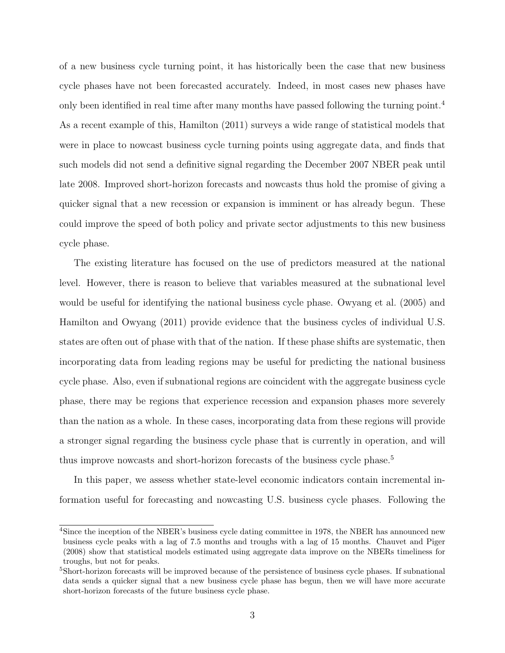of a new business cycle turning point, it has historically been the case that new business cycle phases have not been forecasted accurately. Indeed, in most cases new phases have only been identified in real time after many months have passed following the turning point.<sup>4</sup> As a recent example of this, Hamilton (2011) surveys a wide range of statistical models that were in place to nowcast business cycle turning points using aggregate data, and finds that such models did not send a definitive signal regarding the December 2007 NBER peak until late 2008. Improved short-horizon forecasts and nowcasts thus hold the promise of giving a quicker signal that a new recession or expansion is imminent or has already begun. These could improve the speed of both policy and private sector adjustments to this new business cycle phase.

The existing literature has focused on the use of predictors measured at the national level. However, there is reason to believe that variables measured at the subnational level would be useful for identifying the national business cycle phase. Owyang et al. (2005) and Hamilton and Owyang (2011) provide evidence that the business cycles of individual U.S. states are often out of phase with that of the nation. If these phase shifts are systematic, then incorporating data from leading regions may be useful for predicting the national business cycle phase. Also, even if subnational regions are coincident with the aggregate business cycle phase, there may be regions that experience recession and expansion phases more severely than the nation as a whole. In these cases, incorporating data from these regions will provide a stronger signal regarding the business cycle phase that is currently in operation, and will thus improve nowcasts and short-horizon forecasts of the business cycle phase.<sup>5</sup>

In this paper, we assess whether state-level economic indicators contain incremental information useful for forecasting and nowcasting U.S. business cycle phases. Following the

<sup>&</sup>lt;sup>4</sup>Since the inception of the NBER's business cycle dating committee in 1978, the NBER has announced new business cycle peaks with a lag of 7.5 months and troughs with a lag of 15 months. Chauvet and Piger (2008) show that statistical models estimated using aggregate data improve on the NBERs timeliness for troughs, but not for peaks.

<sup>&</sup>lt;sup>5</sup>Short-horizon forecasts will be improved because of the persistence of business cycle phases. If subnational data sends a quicker signal that a new business cycle phase has begun, then we will have more accurate short-horizon forecasts of the future business cycle phase.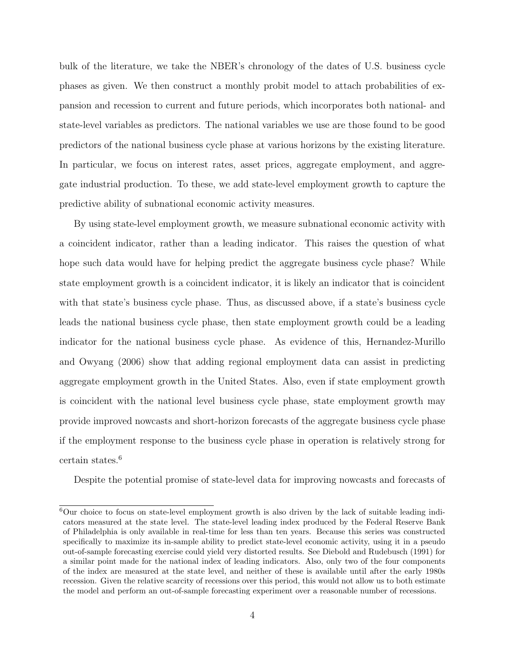bulk of the literature, we take the NBER's chronology of the dates of U.S. business cycle phases as given. We then construct a monthly probit model to attach probabilities of expansion and recession to current and future periods, which incorporates both national- and state-level variables as predictors. The national variables we use are those found to be good predictors of the national business cycle phase at various horizons by the existing literature. In particular, we focus on interest rates, asset prices, aggregate employment, and aggregate industrial production. To these, we add state-level employment growth to capture the predictive ability of subnational economic activity measures.

By using state-level employment growth, we measure subnational economic activity with a coincident indicator, rather than a leading indicator. This raises the question of what hope such data would have for helping predict the aggregate business cycle phase? While state employment growth is a coincident indicator, it is likely an indicator that is coincident with that state's business cycle phase. Thus, as discussed above, if a state's business cycle leads the national business cycle phase, then state employment growth could be a leading indicator for the national business cycle phase. As evidence of this, Hernandez-Murillo and Owyang (2006) show that adding regional employment data can assist in predicting aggregate employment growth in the United States. Also, even if state employment growth is coincident with the national level business cycle phase, state employment growth may provide improved nowcasts and short-horizon forecasts of the aggregate business cycle phase if the employment response to the business cycle phase in operation is relatively strong for certain states.<sup>6</sup>

Despite the potential promise of state-level data for improving nowcasts and forecasts of

<sup>6</sup>Our choice to focus on state-level employment growth is also driven by the lack of suitable leading indicators measured at the state level. The state-level leading index produced by the Federal Reserve Bank of Philadelphia is only available in real-time for less than ten years. Because this series was constructed specifically to maximize its in-sample ability to predict state-level economic activity, using it in a pseudo out-of-sample forecasting exercise could yield very distorted results. See Diebold and Rudebusch (1991) for a similar point made for the national index of leading indicators. Also, only two of the four components of the index are measured at the state level, and neither of these is available until after the early 1980s recession. Given the relative scarcity of recessions over this period, this would not allow us to both estimate the model and perform an out-of-sample forecasting experiment over a reasonable number of recessions.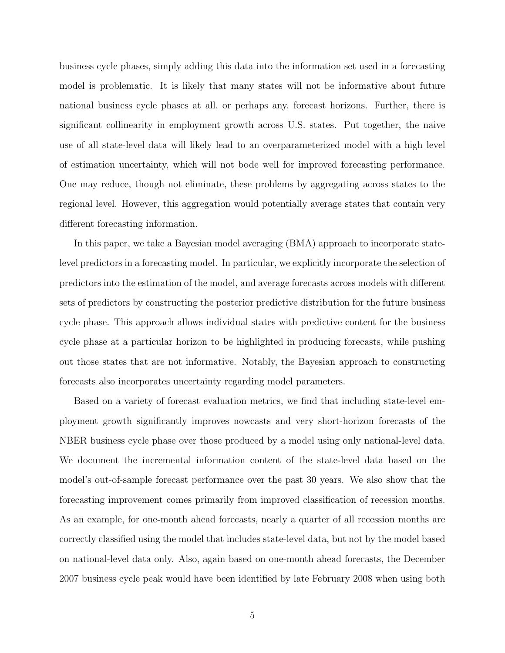business cycle phases, simply adding this data into the information set used in a forecasting model is problematic. It is likely that many states will not be informative about future national business cycle phases at all, or perhaps any, forecast horizons. Further, there is significant collinearity in employment growth across U.S. states. Put together, the naive use of all state-level data will likely lead to an overparameterized model with a high level of estimation uncertainty, which will not bode well for improved forecasting performance. One may reduce, though not eliminate, these problems by aggregating across states to the regional level. However, this aggregation would potentially average states that contain very different forecasting information.

In this paper, we take a Bayesian model averaging (BMA) approach to incorporate statelevel predictors in a forecasting model. In particular, we explicitly incorporate the selection of predictors into the estimation of the model, and average forecasts across models with different sets of predictors by constructing the posterior predictive distribution for the future business cycle phase. This approach allows individual states with predictive content for the business cycle phase at a particular horizon to be highlighted in producing forecasts, while pushing out those states that are not informative. Notably, the Bayesian approach to constructing forecasts also incorporates uncertainty regarding model parameters.

Based on a variety of forecast evaluation metrics, we find that including state-level employment growth significantly improves nowcasts and very short-horizon forecasts of the NBER business cycle phase over those produced by a model using only national-level data. We document the incremental information content of the state-level data based on the model's out-of-sample forecast performance over the past 30 years. We also show that the forecasting improvement comes primarily from improved classification of recession months. As an example, for one-month ahead forecasts, nearly a quarter of all recession months are correctly classified using the model that includes state-level data, but not by the model based on national-level data only. Also, again based on one-month ahead forecasts, the December 2007 business cycle peak would have been identified by late February 2008 when using both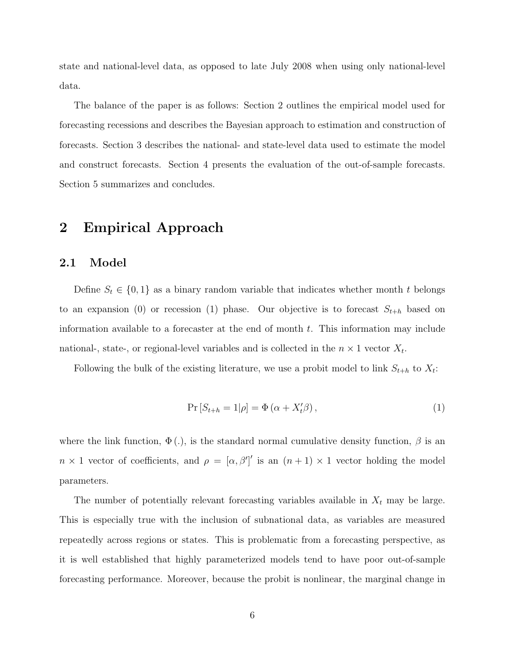state and national-level data, as opposed to late July 2008 when using only national-level data.

The balance of the paper is as follows: Section 2 outlines the empirical model used for forecasting recessions and describes the Bayesian approach to estimation and construction of forecasts. Section 3 describes the national- and state-level data used to estimate the model and construct forecasts. Section 4 presents the evaluation of the out-of-sample forecasts. Section 5 summarizes and concludes.

# 2 Empirical Approach

#### 2.1 Model

Define  $S_t \in \{0,1\}$  as a binary random variable that indicates whether month t belongs to an expansion (0) or recession (1) phase. Our objective is to forecast  $S_{t+h}$  based on information available to a forecaster at the end of month  $t$ . This information may include national-, state-, or regional-level variables and is collected in the  $n \times 1$  vector  $X_t$ .

Following the bulk of the existing literature, we use a probit model to link  $S_{t+h}$  to  $X_t$ :

$$
\Pr\left[S_{t+h} = 1 | \rho\right] = \Phi\left(\alpha + X_t'\beta\right),\tag{1}
$$

where the link function,  $\Phi(.)$ , is the standard normal cumulative density function,  $\beta$  is an  $n \times 1$  vector of coefficients, and  $\rho = [\alpha, \beta']'$  is an  $(n+1) \times 1$  vector holding the model parameters.

The number of potentially relevant forecasting variables available in  $X_t$  may be large. This is especially true with the inclusion of subnational data, as variables are measured repeatedly across regions or states. This is problematic from a forecasting perspective, as it is well established that highly parameterized models tend to have poor out-of-sample forecasting performance. Moreover, because the probit is nonlinear, the marginal change in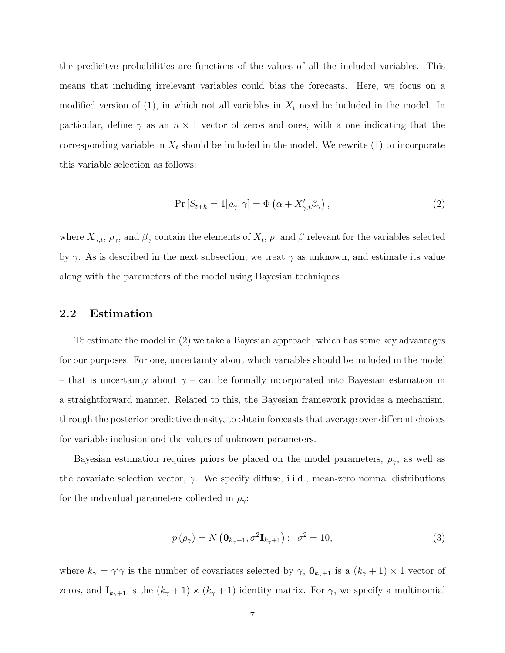the predicitve probabilities are functions of the values of all the included variables. This means that including irrelevant variables could bias the forecasts. Here, we focus on a modified version of (1), in which not all variables in  $X_t$  need be included in the model. In particular, define  $\gamma$  as an  $n \times 1$  vector of zeros and ones, with a one indicating that the corresponding variable in  $X_t$  should be included in the model. We rewrite (1) to incorporate this variable selection as follows:

$$
\Pr\left[S_{t+h} = 1 | \rho_{\gamma}, \gamma\right] = \Phi\left(\alpha + X'_{\gamma, t} \beta_{\gamma}\right),\tag{2}
$$

where  $X_{\gamma,t}$ ,  $\rho_{\gamma}$ , and  $\beta_{\gamma}$  contain the elements of  $X_t$ ,  $\rho$ , and  $\beta$  relevant for the variables selected by  $\gamma$ . As is described in the next subsection, we treat  $\gamma$  as unknown, and estimate its value along with the parameters of the model using Bayesian techniques.

#### 2.2 Estimation

To estimate the model in (2) we take a Bayesian approach, which has some key advantages for our purposes. For one, uncertainty about which variables should be included in the model – that is uncertainty about  $\gamma$  – can be formally incorporated into Bayesian estimation in a straightforward manner. Related to this, the Bayesian framework provides a mechanism, through the posterior predictive density, to obtain forecasts that average over different choices for variable inclusion and the values of unknown parameters.

Bayesian estimation requires priors be placed on the model parameters,  $\rho_{\gamma}$ , as well as the covariate selection vector,  $\gamma$ . We specify diffuse, i.i.d., mean-zero normal distributions for the individual parameters collected in  $\rho_{\gamma}$ :

$$
p\left(\rho_{\gamma}\right) = N\left(\mathbf{0}_{k_{\gamma}+1}, \sigma^2 \mathbf{I}_{k_{\gamma}+1}\right); \quad \sigma^2 = 10,\tag{3}
$$

where  $k_{\gamma} = \gamma' \gamma$  is the number of covariates selected by  $\gamma$ ,  $\mathbf{0}_{k_{\gamma}+1}$  is a  $(k_{\gamma}+1) \times 1$  vector of zeros, and  $\mathbf{I}_{k_{\gamma}+1}$  is the  $(k_{\gamma}+1) \times (k_{\gamma}+1)$  identity matrix. For  $\gamma$ , we specify a multinomial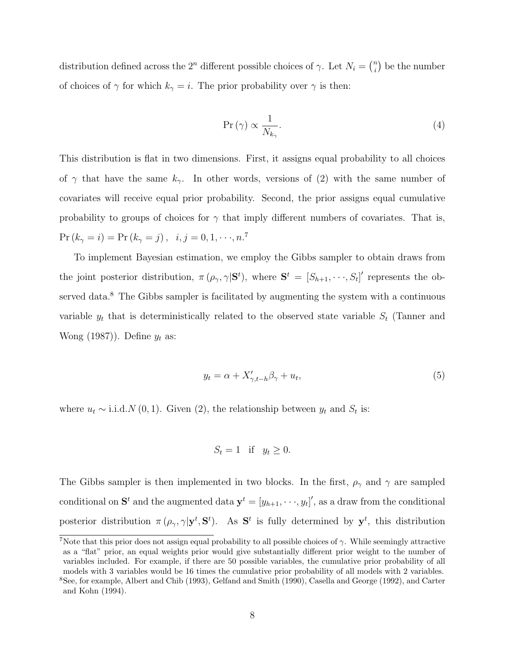distribution defined across the  $2^n$  different possible choices of  $\gamma$ . Let  $N_i = \binom{n}{i}$  $\binom{n}{i}$  be the number of choices of  $\gamma$  for which  $k_{\gamma} = i$ . The prior probability over  $\gamma$  is then:

$$
\Pr\left(\gamma\right) \propto \frac{1}{N_{k_{\gamma}}}.\tag{4}
$$

This distribution is flat in two dimensions. First, it assigns equal probability to all choices of  $\gamma$  that have the same  $k_{\gamma}$ . In other words, versions of (2) with the same number of covariates will receive equal prior probability. Second, the prior assigns equal cumulative probability to groups of choices for  $\gamma$  that imply different numbers of covariates. That is,  $Pr (k_{\gamma} = i) = Pr (k_{\gamma} = j), i, j = 0, 1, \dots, n$ <sup>7</sup>

To implement Bayesian estimation, we employ the Gibbs sampler to obtain draws from the joint posterior distribution,  $\pi(\rho_\gamma, \gamma | \mathbf{S}^t)$ , where  $\mathbf{S}^t = [S_{h+1}, \dots, S_t]'$  represents the observed data.<sup>8</sup> The Gibbs sampler is facilitated by augmenting the system with a continuous variable  $y_t$  that is deterministically related to the observed state variable  $S_t$  (Tanner and Wong  $(1987)$ . Define  $y_t$  as:

$$
y_t = \alpha + X'_{\gamma, t-h} \beta_\gamma + u_t,\tag{5}
$$

where  $u_t \sim$  i.i.d.N (0, 1). Given (2), the relationship between  $y_t$  and  $S_t$  is:

$$
S_t = 1 \quad \text{if} \quad y_t \ge 0.
$$

The Gibbs sampler is then implemented in two blocks. In the first,  $\rho_{\gamma}$  and  $\gamma$  are sampled conditional on  $S^t$  and the augmented data  $\mathbf{y}^t = [y_{h+1}, \cdots, y_t]'$ , as a draw from the conditional posterior distribution  $\pi(\rho_\gamma, \gamma | y^t, S^t)$ . As  $S^t$  is fully determined by  $y^t$ , this distribution

<sup>&</sup>lt;sup>7</sup>Note that this prior does not assign equal probability to all possible choices of  $\gamma$ . While seemingly attractive as a "flat" prior, an equal weights prior would give substantially different prior weight to the number of variables included. For example, if there are 50 possible variables, the cumulative prior probability of all models with 3 variables would be 16 times the cumulative prior probability of all models with 2 variables.

<sup>8</sup>See, for example, Albert and Chib (1993), Gelfand and Smith (1990), Casella and George (1992), and Carter and Kohn (1994).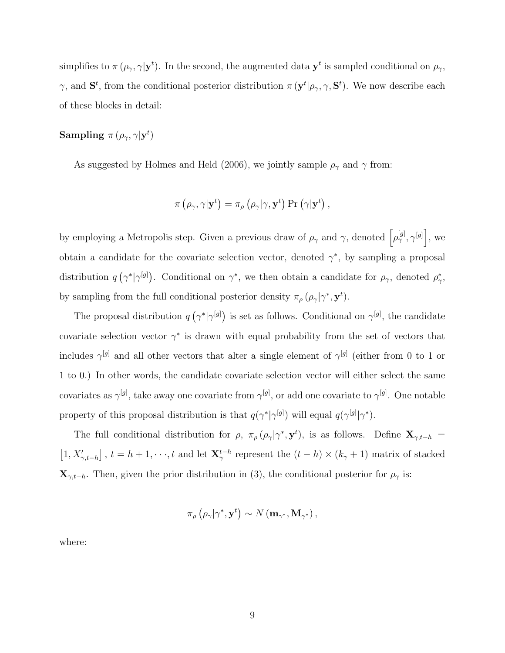simplifies to  $\pi(\rho_\gamma, \gamma | y^t)$ . In the second, the augmented data  $y^t$  is sampled conditional on  $\rho_\gamma$ , γ, and  $S^t$ , from the conditional posterior distribution  $\pi(\mathbf{y}^t | \rho_\gamma, \gamma, \mathbf{S}^t)$ . We now describe each of these blocks in detail:

## Sampling  $\pi\left(\rho_{\gamma},\gamma|\mathbf{y}^{t}\right)$

As suggested by Holmes and Held (2006), we jointly sample  $\rho_{\gamma}$  and  $\gamma$  from:

$$
\pi\left(\rho_{\gamma},\gamma|\mathbf{y}^{t}\right)=\pi_{\rho}\left(\rho_{\gamma}|\gamma,\mathbf{y}^{t}\right)\Pr\left(\gamma|\mathbf{y}^{t}\right),
$$

by employing a Metropolis step. Given a previous draw of  $\rho_{\gamma}$  and  $\gamma$ , denoted  $\left[\rho_{\gamma}^{[g]}, \gamma^{[g]}\right]$ , we obtain a candidate for the covariate selection vector, denoted  $\gamma^*$ , by sampling a proposal distribution  $q(\gamma^*|\gamma^{[g]})$ . Conditional on  $\gamma^*$ , we then obtain a candidate for  $\rho_{\gamma}$ , denoted  $\rho_{\gamma}^*$  $_{\gamma}^{\ast},$ by sampling from the full conditional posterior density  $\pi_{\rho}(\rho_{\gamma}|\gamma^*, \mathbf{y}^t)$ .

The proposal distribution  $q(\gamma^*|\gamma^{[g]})$  is set as follows. Conditional on  $\gamma^{[g]}$ , the candidate covariate selection vector  $\gamma^*$  is drawn with equal probability from the set of vectors that includes  $\gamma^{[g]}$  and all other vectors that alter a single element of  $\gamma^{[g]}$  (either from 0 to 1 or 1 to 0.) In other words, the candidate covariate selection vector will either select the same covariates as  $\gamma^{[g]}$ , take away one covariate from  $\gamma^{[g]}$ , or add one covariate to  $\gamma^{[g]}$ . One notable property of this proposal distribution is that  $q(\gamma^*|\gamma^{[g]})$  will equal  $q(\gamma^{[g]}|\gamma^*)$ .

The full conditional distribution for  $\rho$ ,  $\pi_{\rho}(\rho_{\gamma}|\gamma^*, \mathbf{y}^t)$ , is as follows. Define  $\mathbf{X}_{\gamma,t-h}$  $[1, X'_{\gamma,t-h}]$ ,  $t = h+1, \dots, t$  and let  $\mathbf{X}_{\gamma}^{t-h}$  represent the  $(t-h) \times (k_{\gamma}+1)$  matrix of stacked  $\mathbf{X}_{\gamma,t-h}$ . Then, given the prior distribution in (3), the conditional posterior for  $\rho_{\gamma}$  is:

$$
\pi_{\rho}\left(\rho_{\gamma}|\gamma^*,\mathbf{y}^t\right) \sim N\left(\mathbf{m}_{\gamma^*},\mathbf{M}_{\gamma^*}\right),\,
$$

where: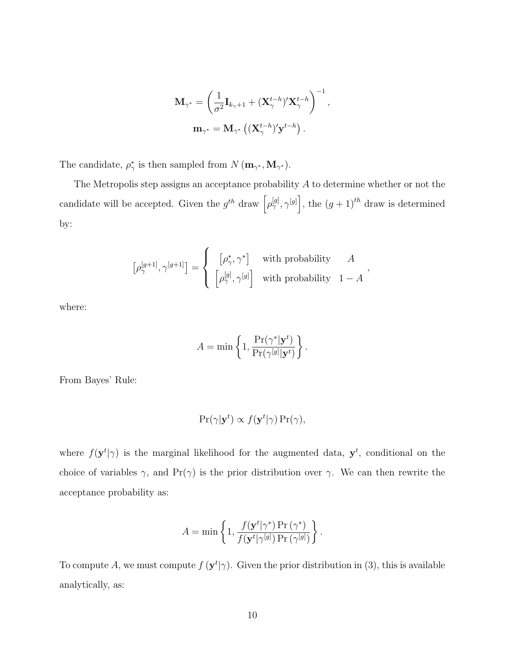$$
\mathbf{M}_{\gamma^*} = \left(\frac{1}{\sigma^2} \mathbf{I}_{k_{\gamma}+1} + (\mathbf{X}_{\gamma}^{t-h})'\mathbf{X}_{\gamma}^{t-h}\right)^{-1},
$$
  

$$
\mathbf{m}_{\gamma^*} = \mathbf{M}_{\gamma^*} \left( (\mathbf{X}_{\gamma}^{t-h})'\mathbf{y}^{t-h} \right).
$$

The candidate,  $\rho^*_{\gamma}$ <sup>\*</sup>/<sub>7</sub> is then sampled from  $N(\mathbf{m}_{\gamma^*}, \mathbf{M}_{\gamma^*})$ .

The Metropolis step assigns an acceptance probability A to determine whether or not the candidate will be accepted. Given the  $g^{th}$  draw  $\left[\rho^{[g]}_{\gamma}, \gamma^{[g]}\right]$ , the  $(g + 1)^{th}$  draw is determined by:

$$
\left[\rho_\gamma^{[g+1]},\gamma^{[g+1]}\right]=\left\{\begin{array}{cc} \left[\rho_\gamma^*,\gamma^*\right] & \text{with probability} & A\\ \left[\rho_\gamma^{[g]},\gamma^{[g]}\right] & \text{with probability} & 1-A \end{array}\right.,
$$

where:

$$
A = \min \left\{ 1, \frac{\Pr(\gamma^* | \mathbf{y}^t)}{\Pr(\gamma^{[g]} | \mathbf{y}^t)} \right\}.
$$

From Bayes' Rule:

$$
\Pr(\gamma | \mathbf{y}^t) \propto f(\mathbf{y}^t | \gamma) \Pr(\gamma),
$$

where  $f(\mathbf{y}^t | \gamma)$  is the marginal likelihood for the augmented data,  $\mathbf{y}^t$ , conditional on the choice of variables  $\gamma$ , and Pr( $\gamma$ ) is the prior distribution over  $\gamma$ . We can then rewrite the acceptance probability as:

$$
A = \min \left\{ 1, \frac{f(\mathbf{y}^t | \gamma^*) \Pr(\gamma^*)}{f(\mathbf{y}^t | \gamma^{[g]}) \Pr(\gamma^{[g]})} \right\}.
$$

To compute A, we must compute  $f(\mathbf{y}^t | \gamma)$ . Given the prior distribution in (3), this is available analytically, as: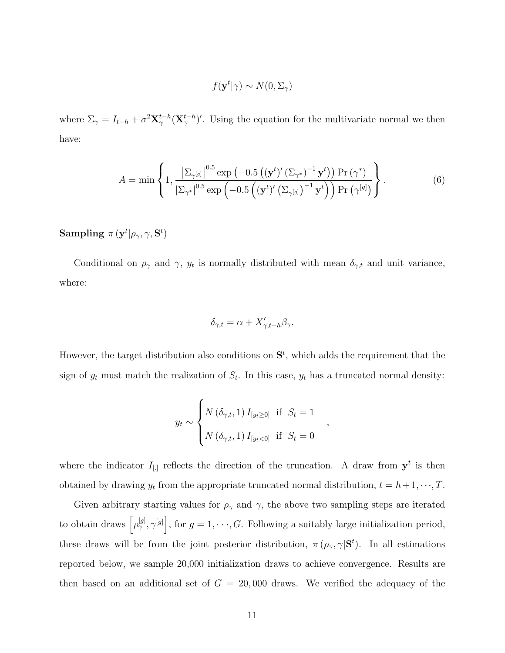$$
f(\mathbf{y}^t | \gamma) \sim N(0, \Sigma_\gamma)
$$

where  $\Sigma_{\gamma} = I_{t-h} + \sigma^2 \mathbf{X}_{\gamma}^{t-h} (\mathbf{X}_{\gamma}^{t-h})'$ . Using the equation for the multivariate normal we then have:

$$
A = \min\left\{1, \frac{\left|\sum_{\gamma^{[g]}}\right|^{0.5} \exp\left(-0.5\left(\left(\mathbf{y}^t\right)'(\Sigma_{\gamma^*})^{-1}\mathbf{y}^t\right)\right) \Pr\left(\gamma^*\right)}{\left|\sum_{\gamma^*}\right|^{0.5} \exp\left(-0.5\left(\left(\mathbf{y}^t\right)'(\Sigma_{\gamma^{[g]}})^{-1}\mathbf{y}^t\right)\right) \Pr\left(\gamma^{[g]}\right)}\right\}.
$$
\n(6)

 $\mathbf{Sampling}\,\,\pi\, (\mathbf{y}^t|\rho_{\gamma}, \gamma, \mathbf{S}^t)$ 

Conditional on  $\rho_{\gamma}$  and  $\gamma$ ,  $y_t$  is normally distributed with mean  $\delta_{\gamma,t}$  and unit variance, where:

$$
\delta_{\gamma,t} = \alpha + X'_{\gamma,t-h} \beta_{\gamma}.
$$

However, the target distribution also conditions on  $S<sup>t</sup>$ , which adds the requirement that the sign of  $y_t$  must match the realization of  $S_t$ . In this case,  $y_t$  has a truncated normal density:

$$
y_t \sim \begin{cases} N(\delta_{\gamma,t}, 1) I_{[y_t \ge 0]} & \text{if } S_t = 1 \\ N(\delta_{\gamma,t}, 1) I_{[y_t < 0]} & \text{if } S_t = 0 \end{cases}
$$

,

where the indicator  $I_{\left[.\right]}$  reflects the direction of the truncation. A draw from  $y^t$  is then obtained by drawing  $y_t$  from the appropriate truncated normal distribution,  $t = h + 1, \dots, T$ .

Given arbitrary starting values for  $\rho_{\gamma}$  and  $\gamma$ , the above two sampling steps are iterated to obtain draws  $\left[\rho_{\gamma}^{[g]}, \gamma^{[g]}\right]$ , for  $g = 1, \dots, G$ . Following a suitably large initialization period, these draws will be from the joint posterior distribution,  $\pi(\rho_{\gamma}, \gamma | \mathbf{S}^t)$ . In all estimations reported below, we sample 20,000 initialization draws to achieve convergence. Results are then based on an additional set of  $G = 20,000$  draws. We verified the adequacy of the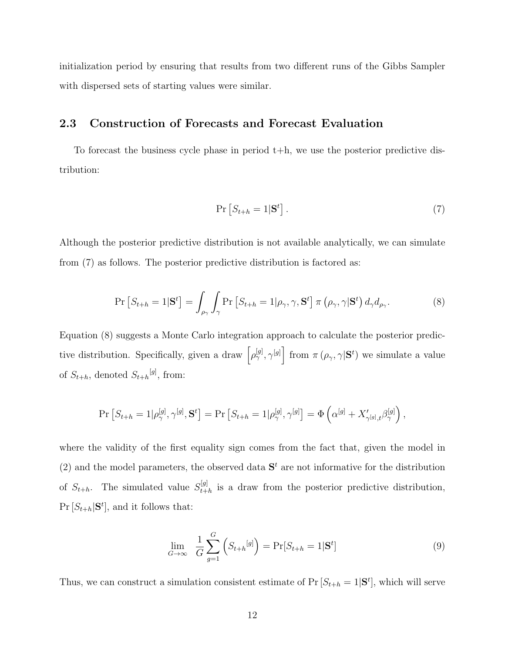initialization period by ensuring that results from two different runs of the Gibbs Sampler with dispersed sets of starting values were similar.

### 2.3 Construction of Forecasts and Forecast Evaluation

To forecast the business cycle phase in period  $t+h$ , we use the posterior predictive distribution:

$$
\Pr\left[S_{t+h} = 1 | \mathbf{S}^t\right].\tag{7}
$$

Although the posterior predictive distribution is not available analytically, we can simulate from (7) as follows. The posterior predictive distribution is factored as:

$$
\Pr\left[S_{t+h} = 1 | \mathbf{S}^t\right] = \int_{\rho_\gamma} \int_{\gamma} \Pr\left[S_{t+h} = 1 | \rho_\gamma, \gamma, \mathbf{S}^t\right] \pi\left(\rho_\gamma, \gamma | \mathbf{S}^t\right) d_\gamma d_{\rho_\gamma}.
$$
\n(8)

Equation (8) suggests a Monte Carlo integration approach to calculate the posterior predictive distribution. Specifically, given a draw  $\left[\rho_{\gamma}^{[g]}, \gamma^{[g]}\right]$  from  $\pi\left(\rho_{\gamma}, \gamma | \mathbf{S}^t\right)$  we simulate a value of  $S_{t+h}$ , denoted  $S_{t+h}^{[g]}$ , from:

$$
\Pr\left[S_{t+h}=1 | \rho_\gamma^{[g]}, \gamma^{[g]}, \mathbf{S}^t \right] = \Pr\left[S_{t+h}=1 | \rho_\gamma^{[g]}, \gamma^{[g]} \right] = \Phi\left(\alpha^{[g]} + X'_{\gamma^{[g]}, t} \beta_\gamma^{[g]}\right),
$$

where the validity of the first equality sign comes from the fact that, given the model in (2) and the model parameters, the observed data  $S<sup>t</sup>$  are not informative for the distribution of  $S_{t+h}$ . The simulated value  $S_{t+h}^{[g]}$  $t_{t+h}^{[g]}$  is a draw from the posterior predictive distribution,  $Pr[S_{t+h}|\mathbf{S}^t]$ , and it follows that:

$$
\lim_{G \to \infty} \frac{1}{G} \sum_{g=1}^{G} \left( S_{t+h}^{[g]} \right) = \Pr[S_{t+h} = 1 | \mathbf{S}^t]
$$
\n(9)

Thus, we can construct a simulation consistent estimate of  $Pr[S_{t+h} = 1 | \mathbf{S}^t]$ , which will serve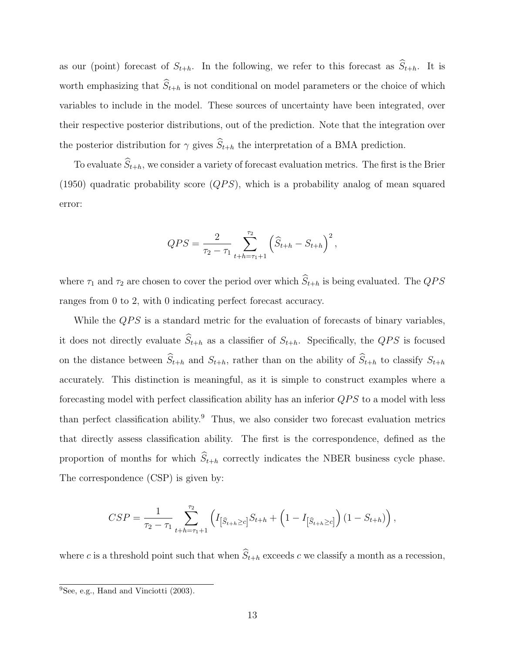as our (point) forecast of  $S_{t+h}$ . In the following, we refer to this forecast as  $\widehat{S}_{t+h}$ . It is worth emphasizing that  $\widehat{S}_{t+h}$  is not conditional on model parameters or the choice of which variables to include in the model. These sources of uncertainty have been integrated, over their respective posterior distributions, out of the prediction. Note that the integration over the posterior distribution for  $\gamma$  gives  $\widehat{S}_{t+h}$  the interpretation of a BMA prediction.

To evaluate  $\widehat{S}_{t+h}$ , we consider a variety of forecast evaluation metrics. The first is the Brier (1950) quadratic probability score  $(QPS)$ , which is a probability analog of mean squared error:

$$
QPS = \frac{2}{\tau_2 - \tau_1} \sum_{t+h=\tau_1+1}^{\tau_2} \left( \widehat{S}_{t+h} - S_{t+h} \right)^2,
$$

where  $\tau_1$  and  $\tau_2$  are chosen to cover the period over which  $\widehat{S}_{t+h}$  is being evaluated. The QPS ranges from 0 to 2, with 0 indicating perfect forecast accuracy.

While the  $QPS$  is a standard metric for the evaluation of forecasts of binary variables, it does not directly evaluate  $\widehat{S}_{t+h}$  as a classifier of  $S_{t+h}$ . Specifically, the QPS is focused on the distance between  $\widehat{S}_{t+h}$  and  $S_{t+h}$ , rather than on the ability of  $\widehat{S}_{t+h}$  to classify  $S_{t+h}$ accurately. This distinction is meaningful, as it is simple to construct examples where a forecasting model with perfect classification ability has an inferior  $QPS$  to a model with less than perfect classification ability.<sup>9</sup> Thus, we also consider two forecast evaluation metrics that directly assess classification ability. The first is the correspondence, defined as the proportion of months for which  $\widehat{S}_{t+h}$  correctly indicates the NBER business cycle phase. The correspondence (CSP) is given by:

$$
CSP = \frac{1}{\tau_2 - \tau_1} \sum_{t+h=\tau_1+1}^{\tau_2} \left( I_{\left[\widehat{S}_{t+h} \ge c\right]} S_{t+h} + \left( 1 - I_{\left[\widehat{S}_{t+h} \ge c\right]} \right) \left( 1 - S_{t+h} \right) \right),
$$

where c is a threshold point such that when  $\widehat{S}_{t+h}$  exceeds c we classify a month as a recession,

 $\overline{^{9}$ See, e.g., Hand and Vinciotti (2003).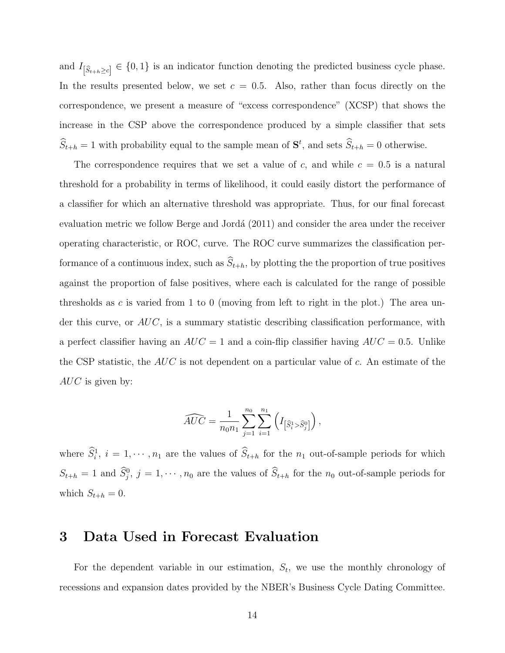and  $I_{\left[\widehat{S}_{t+h}\geq c\right]} \in \{0,1\}$  is an indicator function denoting the predicted business cycle phase. In the results presented below, we set  $c = 0.5$ . Also, rather than focus directly on the correspondence, we present a measure of "excess correspondence" (XCSP) that shows the increase in the CSP above the correspondence produced by a simple classifier that sets  $\hat{S}_{t+h} = 1$  with probability equal to the sample mean of  $S^t$ , and sets  $\hat{S}_{t+h} = 0$  otherwise.

The correspondence requires that we set a value of c, and while  $c = 0.5$  is a natural threshold for a probability in terms of likelihood, it could easily distort the performance of a classifier for which an alternative threshold was appropriate. Thus, for our final forecast evaluation metric we follow Berge and Jordá (2011) and consider the area under the receiver operating characteristic, or ROC, curve. The ROC curve summarizes the classification performance of a continuous index, such as  $\widehat{S}_{t+h}$ , by plotting the the proportion of true positives against the proportion of false positives, where each is calculated for the range of possible thresholds as c is varied from 1 to 0 (moving from left to right in the plot.) The area under this curve, or  $AUC$ , is a summary statistic describing classification performance, with a perfect classifier having an  $AUC = 1$  and a coin-flip classifier having  $AUC = 0.5$ . Unlike the CSP statistic, the  $AUC$  is not dependent on a particular value of c. An estimate of the  $AUC$  is given by:

$$
\widehat{AUC} = \frac{1}{n_0 n_1} \sum_{j=1}^{n_0} \sum_{i=1}^{n_1} \left( I_{\left[\widehat{S}_i^1 > \widehat{S}_j^0\right]}\right),
$$

where  $\hat{S}_i^1$ ,  $i = 1, \dots, n_1$  are the values of  $\hat{S}_{t+h}$  for the  $n_1$  out-of-sample periods for which  $S_{t+h} = 1$  and  $\hat{S}_j^0$ ,  $j = 1, \dots, n_0$  are the values of  $\hat{S}_{t+h}$  for the  $n_0$  out-of-sample periods for which  $S_{t+h} = 0$ .

## 3 Data Used in Forecast Evaluation

For the dependent variable in our estimation,  $S_t$ , we use the monthly chronology of recessions and expansion dates provided by the NBER's Business Cycle Dating Committee.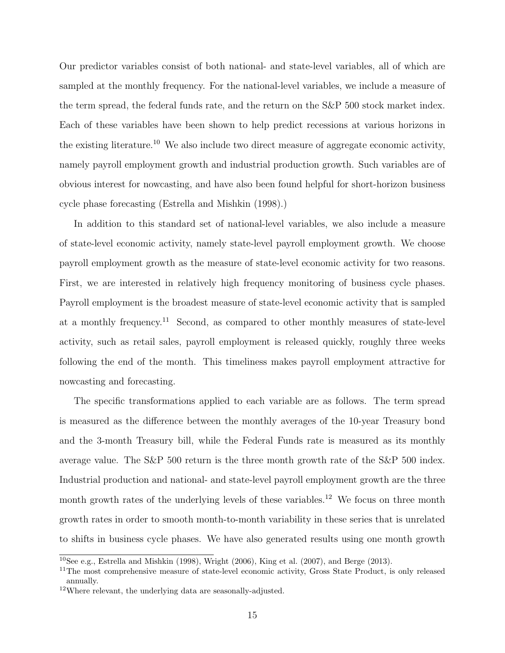Our predictor variables consist of both national- and state-level variables, all of which are sampled at the monthly frequency. For the national-level variables, we include a measure of the term spread, the federal funds rate, and the return on the S&P 500 stock market index. Each of these variables have been shown to help predict recessions at various horizons in the existing literature.<sup>10</sup> We also include two direct measure of aggregate economic activity, namely payroll employment growth and industrial production growth. Such variables are of obvious interest for nowcasting, and have also been found helpful for short-horizon business cycle phase forecasting (Estrella and Mishkin (1998).)

In addition to this standard set of national-level variables, we also include a measure of state-level economic activity, namely state-level payroll employment growth. We choose payroll employment growth as the measure of state-level economic activity for two reasons. First, we are interested in relatively high frequency monitoring of business cycle phases. Payroll employment is the broadest measure of state-level economic activity that is sampled at a monthly frequency.<sup>11</sup> Second, as compared to other monthly measures of state-level activity, such as retail sales, payroll employment is released quickly, roughly three weeks following the end of the month. This timeliness makes payroll employment attractive for nowcasting and forecasting.

The specific transformations applied to each variable are as follows. The term spread is measured as the difference between the monthly averages of the 10-year Treasury bond and the 3-month Treasury bill, while the Federal Funds rate is measured as its monthly average value. The S&P 500 return is the three month growth rate of the S&P 500 index. Industrial production and national- and state-level payroll employment growth are the three month growth rates of the underlying levels of these variables.<sup>12</sup> We focus on three month growth rates in order to smooth month-to-month variability in these series that is unrelated to shifts in business cycle phases. We have also generated results using one month growth

<sup>&</sup>lt;sup>10</sup>See e.g., Estrella and Mishkin (1998), Wright (2006), King et al. (2007), and Berge (2013).

<sup>&</sup>lt;sup>11</sup>The most comprehensive measure of state-level economic activity, Gross State Product, is only released annually.

<sup>12</sup>Where relevant, the underlying data are seasonally-adjusted.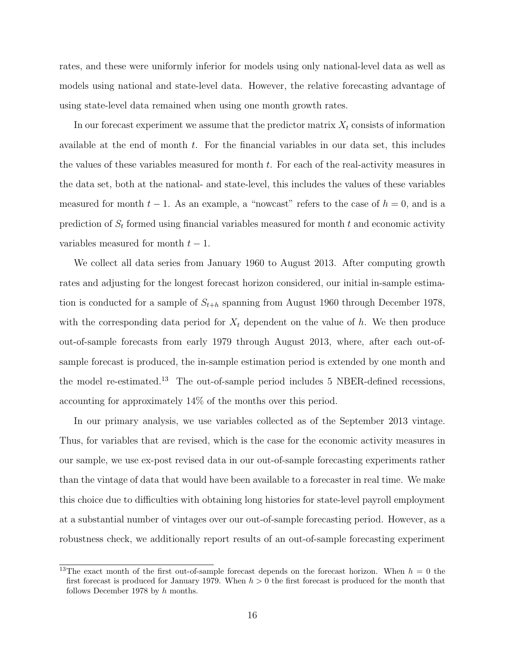rates, and these were uniformly inferior for models using only national-level data as well as models using national and state-level data. However, the relative forecasting advantage of using state-level data remained when using one month growth rates.

In our forecast experiment we assume that the predictor matrix  $X_t$  consists of information available at the end of month  $t$ . For the financial variables in our data set, this includes the values of these variables measured for month t. For each of the real-activity measures in the data set, both at the national- and state-level, this includes the values of these variables measured for month  $t - 1$ . As an example, a "nowcast" refers to the case of  $h = 0$ , and is a prediction of  $S_t$  formed using financial variables measured for month  $t$  and economic activity variables measured for month  $t - 1$ .

We collect all data series from January 1960 to August 2013. After computing growth rates and adjusting for the longest forecast horizon considered, our initial in-sample estimation is conducted for a sample of  $S_{t+h}$  spanning from August 1960 through December 1978, with the corresponding data period for  $X_t$  dependent on the value of h. We then produce out-of-sample forecasts from early 1979 through August 2013, where, after each out-ofsample forecast is produced, the in-sample estimation period is extended by one month and the model re-estimated.<sup>13</sup> The out-of-sample period includes 5 NBER-defined recessions, accounting for approximately 14% of the months over this period.

In our primary analysis, we use variables collected as of the September 2013 vintage. Thus, for variables that are revised, which is the case for the economic activity measures in our sample, we use ex-post revised data in our out-of-sample forecasting experiments rather than the vintage of data that would have been available to a forecaster in real time. We make this choice due to difficulties with obtaining long histories for state-level payroll employment at a substantial number of vintages over our out-of-sample forecasting period. However, as a robustness check, we additionally report results of an out-of-sample forecasting experiment

<sup>&</sup>lt;sup>13</sup>The exact month of the first out-of-sample forecast depends on the forecast horizon. When  $h = 0$  the first forecast is produced for January 1979. When  $h > 0$  the first forecast is produced for the month that follows December 1978 by h months.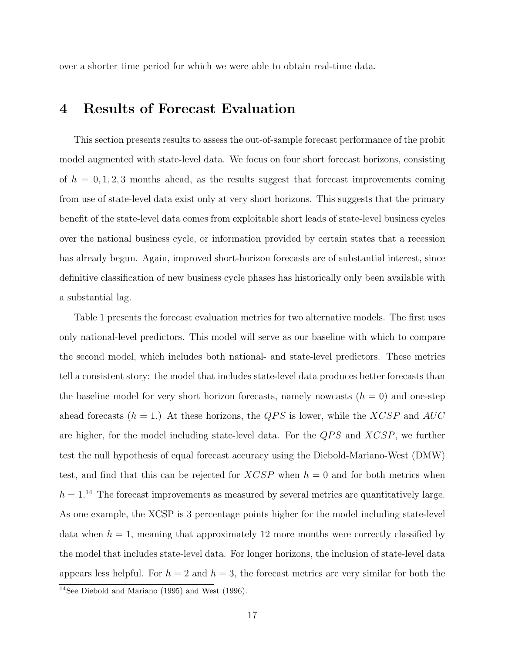over a shorter time period for which we were able to obtain real-time data.

## 4 Results of Forecast Evaluation

This section presents results to assess the out-of-sample forecast performance of the probit model augmented with state-level data. We focus on four short forecast horizons, consisting of  $h = 0, 1, 2, 3$  months ahead, as the results suggest that forecast improvements coming from use of state-level data exist only at very short horizons. This suggests that the primary benefit of the state-level data comes from exploitable short leads of state-level business cycles over the national business cycle, or information provided by certain states that a recession has already begun. Again, improved short-horizon forecasts are of substantial interest, since definitive classification of new business cycle phases has historically only been available with a substantial lag.

Table 1 presents the forecast evaluation metrics for two alternative models. The first uses only national-level predictors. This model will serve as our baseline with which to compare the second model, which includes both national- and state-level predictors. These metrics tell a consistent story: the model that includes state-level data produces better forecasts than the baseline model for very short horizon forecasts, namely nowcasts  $(h = 0)$  and one-step ahead forecasts  $(h = 1)$ . At these horizons, the QPS is lower, while the XCSP and AUC are higher, for the model including state-level data. For the  $QPS$  and  $XCSP$ , we further test the null hypothesis of equal forecast accuracy using the Diebold-Mariano-West (DMW) test, and find that this can be rejected for  $XCSP$  when  $h = 0$  and for both metrics when  $h = 1.^{14}$  The forecast improvements as measured by several metrics are quantitatively large. As one example, the XCSP is 3 percentage points higher for the model including state-level data when  $h = 1$ , meaning that approximately 12 more months were correctly classified by the model that includes state-level data. For longer horizons, the inclusion of state-level data appears less helpful. For  $h = 2$  and  $h = 3$ , the forecast metrics are very similar for both the <sup>14</sup>See Diebold and Mariano (1995) and West (1996).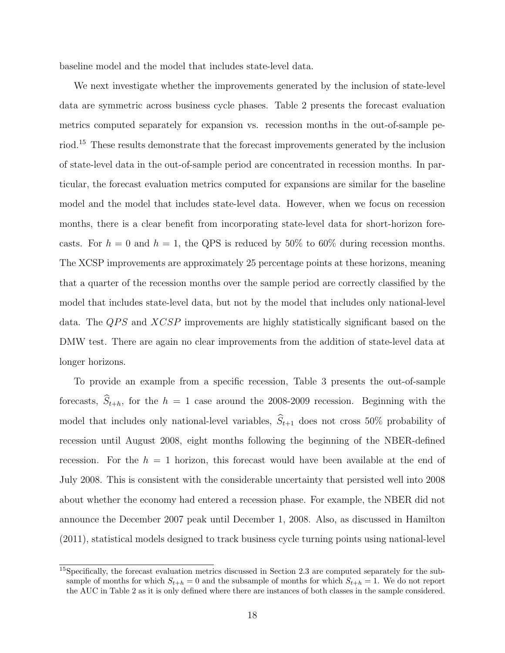baseline model and the model that includes state-level data.

We next investigate whether the improvements generated by the inclusion of state-level data are symmetric across business cycle phases. Table 2 presents the forecast evaluation metrics computed separately for expansion vs. recession months in the out-of-sample period.<sup>15</sup> These results demonstrate that the forecast improvements generated by the inclusion of state-level data in the out-of-sample period are concentrated in recession months. In particular, the forecast evaluation metrics computed for expansions are similar for the baseline model and the model that includes state-level data. However, when we focus on recession months, there is a clear benefit from incorporating state-level data for short-horizon forecasts. For  $h = 0$  and  $h = 1$ , the QPS is reduced by 50% to 60% during recession months. The XCSP improvements are approximately 25 percentage points at these horizons, meaning that a quarter of the recession months over the sample period are correctly classified by the model that includes state-level data, but not by the model that includes only national-level data. The  $QPS$  and  $XCSP$  improvements are highly statistically significant based on the DMW test. There are again no clear improvements from the addition of state-level data at longer horizons.

To provide an example from a specific recession, Table 3 presents the out-of-sample forecasts,  $\hat{S}_{t+h}$ , for the  $h = 1$  case around the 2008-2009 recession. Beginning with the model that includes only national-level variables,  $\hat{S}_{t+1}$  does not cross 50% probability of recession until August 2008, eight months following the beginning of the NBER-defined recession. For the  $h = 1$  horizon, this forecast would have been available at the end of July 2008. This is consistent with the considerable uncertainty that persisted well into 2008 about whether the economy had entered a recession phase. For example, the NBER did not announce the December 2007 peak until December 1, 2008. Also, as discussed in Hamilton (2011), statistical models designed to track business cycle turning points using national-level

<sup>15</sup>Specifically, the forecast evaluation metrics discussed in Section 2.3 are computed separately for the subsample of months for which  $S_{t+h} = 0$  and the subsample of months for which  $S_{t+h} = 1$ . We do not report the AUC in Table 2 as it is only defined where there are instances of both classes in the sample considered.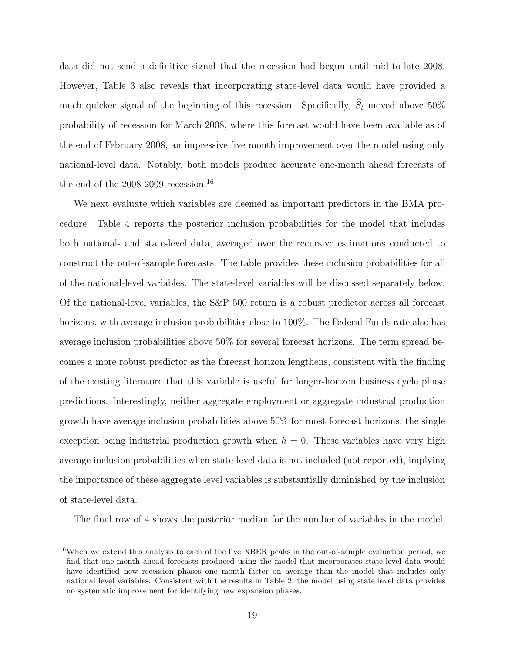data did not send a definitive signal that the recession had begun until mid-to-late 2008. However, Table 3 also reveals that incorporating state-level data would have provided a much quicker signal of the beginning of this recession. Specifically,  $\hat{S}_t$  moved above 50% probability of recession for March 2008, where this forecast would have been available as of the end of February 2008, an impressive five month improvement over the model using only national-level data. Notably, both models produce accurate one-month ahead forecasts of the end of the  $2008-2009$  recession.<sup>16</sup>

We next evaluate which variables are deemed as important predictors in the BMA procedure. Table 4 reports the posterior inclusion probabilities for the model that includes both national- and state-level data, averaged over the recursive estimations conducted to construct the out-of-sample forecasts. The table provides these inclusion probabilities for all of the national-level variables. The state-level variables will be discussed separately below. Of the national-level variables, the S&P 500 return is a robust predictor across all forecast horizons, with average inclusion probabilities close to 100%. The Federal Funds rate also has average inclusion probabilities above 50% for several forecast horizons. The term spread becomes a more robust predictor as the forecast horizon lengthens, consistent with the finding of the existing literature that this variable is useful for longer-horizon business cycle phase predictions. Interestingly, neither aggregate employment or aggregate industrial production growth have average inclusion probabilities above 50% for most forecast horizons, the single exception being industrial production growth when  $h = 0$ . These variables have very high average inclusion probabilities when state-level data is not included (not reported), implying the importance of these aggregate level variables is substantially diminished by the inclusion of state-level data.

The final row of 4 shows the posterior median for the number of variables in the model,

<sup>&</sup>lt;sup>16</sup>When we extend this analysis to each of the five NBER peaks in the out-of-sample evaluation period, we find that one-month ahead forecasts produced using the model that incorporates state-level data would have identified new recession phases one month faster on average than the model that includes only national level variables. Consistent with the results in Table 2, the model using state level data provides no systematic improvement for identifying new expansion phases.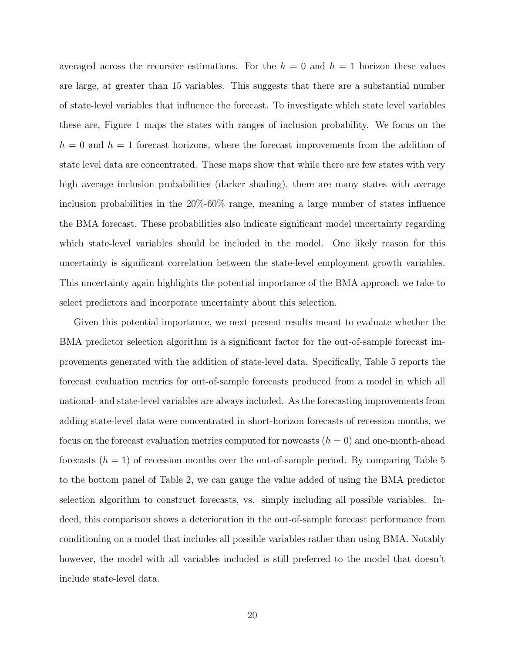averaged across the recursive estimations. For the  $h = 0$  and  $h = 1$  horizon these values are large, at greater than 15 variables. This suggests that there are a substantial number of state-level variables that influence the forecast. To investigate which state level variables these are, Figure 1 maps the states with ranges of inclusion probability. We focus on the  $h = 0$  and  $h = 1$  forecast horizons, where the forecast improvements from the addition of state level data are concentrated. These maps show that while there are few states with very high average inclusion probabilities (darker shading), there are many states with average inclusion probabilities in the 20%-60% range, meaning a large number of states influence the BMA forecast. These probabilities also indicate significant model uncertainty regarding which state-level variables should be included in the model. One likely reason for this uncertainty is significant correlation between the state-level employment growth variables. This uncertainty again highlights the potential importance of the BMA approach we take to select predictors and incorporate uncertainty about this selection.

Given this potential importance, we next present results meant to evaluate whether the BMA predictor selection algorithm is a significant factor for the out-of-sample forecast improvements generated with the addition of state-level data. Specifically, Table 5 reports the forecast evaluation metrics for out-of-sample forecasts produced from a model in which all national- and state-level variables are always included. As the forecasting improvements from adding state-level data were concentrated in short-horizon forecasts of recession months, we focus on the forecast evaluation metrics computed for nowcasts  $(h = 0)$  and one-month-ahead forecasts  $(h = 1)$  of recession months over the out-of-sample period. By comparing Table 5 to the bottom panel of Table 2, we can gauge the value added of using the BMA predictor selection algorithm to construct forecasts, vs. simply including all possible variables. Indeed, this comparison shows a deterioration in the out-of-sample forecast performance from conditioning on a model that includes all possible variables rather than using BMA. Notably however, the model with all variables included is still preferred to the model that doesn't include state-level data.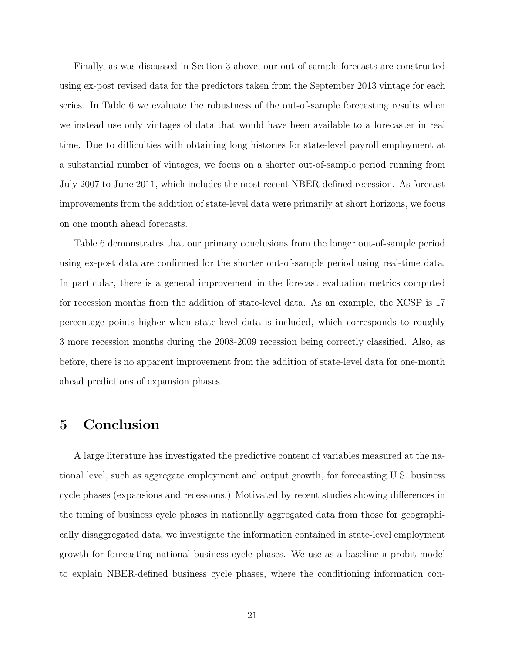Finally, as was discussed in Section 3 above, our out-of-sample forecasts are constructed using ex-post revised data for the predictors taken from the September 2013 vintage for each series. In Table 6 we evaluate the robustness of the out-of-sample forecasting results when we instead use only vintages of data that would have been available to a forecaster in real time. Due to difficulties with obtaining long histories for state-level payroll employment at a substantial number of vintages, we focus on a shorter out-of-sample period running from July 2007 to June 2011, which includes the most recent NBER-defined recession. As forecast improvements from the addition of state-level data were primarily at short horizons, we focus on one month ahead forecasts.

Table 6 demonstrates that our primary conclusions from the longer out-of-sample period using ex-post data are confirmed for the shorter out-of-sample period using real-time data. In particular, there is a general improvement in the forecast evaluation metrics computed for recession months from the addition of state-level data. As an example, the XCSP is 17 percentage points higher when state-level data is included, which corresponds to roughly 3 more recession months during the 2008-2009 recession being correctly classified. Also, as before, there is no apparent improvement from the addition of state-level data for one-month ahead predictions of expansion phases.

# 5 Conclusion

A large literature has investigated the predictive content of variables measured at the national level, such as aggregate employment and output growth, for forecasting U.S. business cycle phases (expansions and recessions.) Motivated by recent studies showing differences in the timing of business cycle phases in nationally aggregated data from those for geographically disaggregated data, we investigate the information contained in state-level employment growth for forecasting national business cycle phases. We use as a baseline a probit model to explain NBER-defined business cycle phases, where the conditioning information con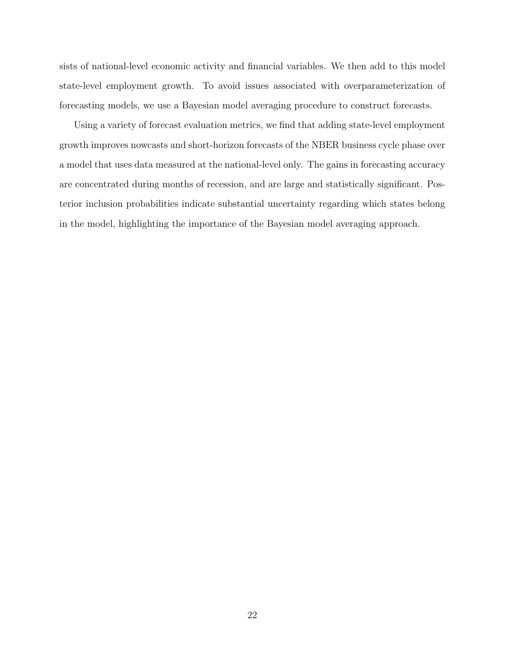sists of national-level economic activity and financial variables. We then add to this model state-level employment growth. To avoid issues associated with overparameterization of forecasting models, we use a Bayesian model averaging procedure to construct forecasts.

Using a variety of forecast evaluation metrics, we find that adding state-level employment growth improves nowcasts and short-horizon forecasts of the NBER business cycle phase over a model that uses data measured at the national-level only. The gains in forecasting accuracy are concentrated during months of recession, and are large and statistically significant. Posterior inclusion probabilities indicate substantial uncertainty regarding which states belong in the model, highlighting the importance of the Bayesian model averaging approach.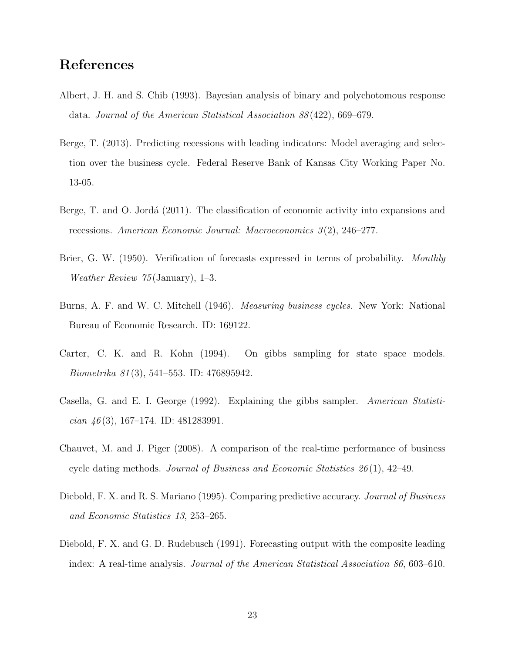# References

- Albert, J. H. and S. Chib (1993). Bayesian analysis of binary and polychotomous response data. Journal of the American Statistical Association 88 (422), 669–679.
- Berge, T. (2013). Predicting recessions with leading indicators: Model averaging and selection over the business cycle. Federal Reserve Bank of Kansas City Working Paper No. 13-05.
- Berge, T. and O. Jordá (2011). The classification of economic activity into expansions and recessions. American Economic Journal: Macroeconomics 3 (2), 246–277.
- Brier, G. W. (1950). Verification of forecasts expressed in terms of probability. Monthly Weather Review 75 (January), 1–3.
- Burns, A. F. and W. C. Mitchell (1946). *Measuring business cycles*. New York: National Bureau of Economic Research. ID: 169122.
- Carter, C. K. and R. Kohn (1994). On gibbs sampling for state space models. Biometrika 81 (3), 541–553. ID: 476895942.
- Casella, G. and E. I. George (1992). Explaining the gibbs sampler. American Statistician  $\frac{46(3)}{167-174}$ . ID: 481283991.
- Chauvet, M. and J. Piger (2008). A comparison of the real-time performance of business cycle dating methods. Journal of Business and Economic Statistics  $26(1)$ , 42–49.
- Diebold, F. X. and R. S. Mariano (1995). Comparing predictive accuracy. Journal of Business and Economic Statistics 13, 253–265.
- Diebold, F. X. and G. D. Rudebusch (1991). Forecasting output with the composite leading index: A real-time analysis. Journal of the American Statistical Association 86, 603–610.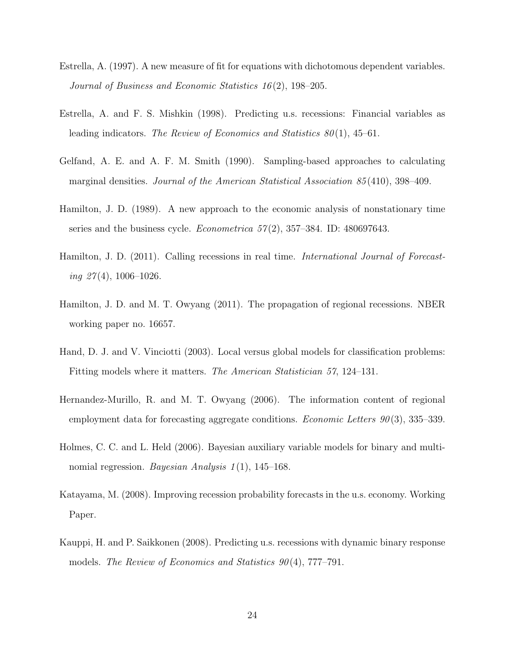- Estrella, A. (1997). A new measure of fit for equations with dichotomous dependent variables. Journal of Business and Economic Statistics 16 (2), 198–205.
- Estrella, A. and F. S. Mishkin (1998). Predicting u.s. recessions: Financial variables as leading indicators. The Review of Economics and Statistics  $80(1)$ , 45–61.
- Gelfand, A. E. and A. F. M. Smith (1990). Sampling-based approaches to calculating marginal densities. *Journal of the American Statistical Association 85* (410), 398–409.
- Hamilton, J. D. (1989). A new approach to the economic analysis of nonstationary time series and the business cycle. *Econometrica*  $57(2)$ ,  $357-384$ . ID: 480697643.
- Hamilton, J. D. (2011). Calling recessions in real time. *International Journal of Forecast*ing  $27(4)$ , 1006-1026.
- Hamilton, J. D. and M. T. Owyang (2011). The propagation of regional recessions. NBER working paper no. 16657.
- Hand, D. J. and V. Vinciotti (2003). Local versus global models for classification problems: Fitting models where it matters. The American Statistician 57, 124–131.
- Hernandez-Murillo, R. and M. T. Owyang (2006). The information content of regional employment data for forecasting aggregate conditions. *Economic Letters*  $90(3)$ , 335–339.
- Holmes, C. C. and L. Held (2006). Bayesian auxiliary variable models for binary and multinomial regression. Bayesian Analysis  $1(1)$ , 145–168.
- Katayama, M. (2008). Improving recession probability forecasts in the u.s. economy. Working Paper.
- Kauppi, H. and P. Saikkonen (2008). Predicting u.s. recessions with dynamic binary response models. The Review of Economics and Statistics  $90(4)$ , 777–791.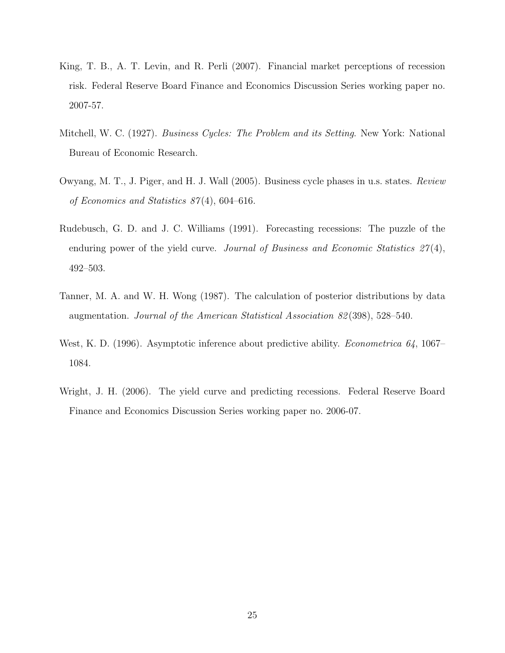- King, T. B., A. T. Levin, and R. Perli (2007). Financial market perceptions of recession risk. Federal Reserve Board Finance and Economics Discussion Series working paper no. 2007-57.
- Mitchell, W. C. (1927). Business Cycles: The Problem and its Setting. New York: National Bureau of Economic Research.
- Owyang, M. T., J. Piger, and H. J. Wall (2005). Business cycle phases in u.s. states. Review of Economics and Statistics 87 (4), 604–616.
- Rudebusch, G. D. and J. C. Williams (1991). Forecasting recessions: The puzzle of the enduring power of the yield curve. Journal of Business and Economic Statistics  $27(4)$ , 492–503.
- Tanner, M. A. and W. H. Wong (1987). The calculation of posterior distributions by data augmentation. Journal of the American Statistical Association 82 (398), 528–540.
- West, K. D. (1996). Asymptotic inference about predictive ability. *Econometrica 64*, 1067– 1084.
- Wright, J. H. (2006). The yield curve and predicting recessions. Federal Reserve Board Finance and Economics Discussion Series working paper no. 2006-07.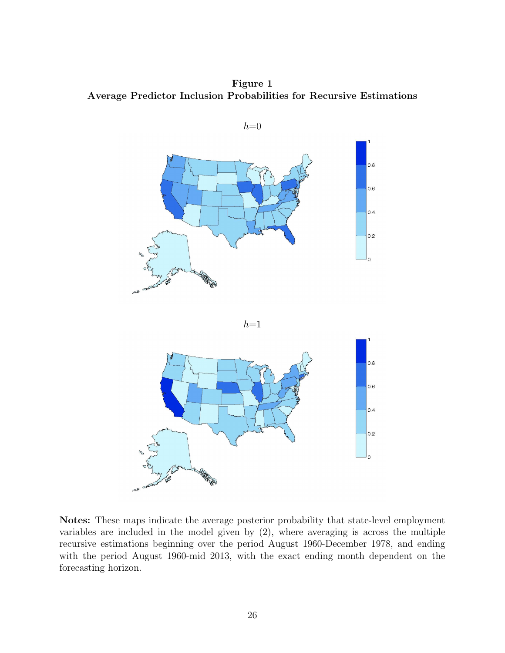Figure 1 Average Predictor Inclusion Probabilities for Recursive Estimations



Notes: These maps indicate the average posterior probability that state-level employment variables are included in the model given by (2), where averaging is across the multiple recursive estimations beginning over the period August 1960-December 1978, and ending with the period August 1960-mid 2013, with the exact ending month dependent on the forecasting horizon.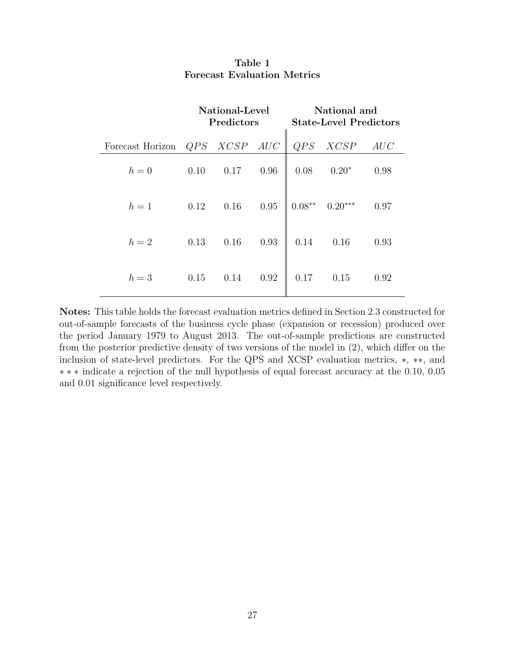|                  | National-Level<br>Predictors |      |      |          | National and<br><b>State-Level Predictors</b> |      |
|------------------|------------------------------|------|------|----------|-----------------------------------------------|------|
| Forecast Horizon | QPS                          | XCSP | AUC  | QPS      | XCSP                                          | AUC  |
| $h=0$            | 0.10                         | 0.17 | 0.96 | 0.08     | $0.20*$                                       | 0.98 |
| $h=1$            | 0.12                         | 0.16 | 0.95 | $0.08**$ | $0.20***$                                     | 0.97 |
| $h=2$            | 0.13                         | 0.16 | 0.93 | 0.14     | 0.16                                          | 0.93 |
| $h=3$            | 0.15                         | 0.14 | 0.92 | 0.17     | 0.15                                          | 0.92 |

### Table 1 Forecast Evaluation Metrics

Notes: This table holds the forecast evaluation metrics defined in Section 2.3 constructed for out-of-sample forecasts of the business cycle phase (expansion or recession) produced over the period January 1979 to August 2013. The out-of-sample predictions are constructed from the posterior predictive density of two versions of the model in (2), which differ on the inclusion of state-level predictors. For the QPS and XCSP evaluation metrics, ∗, ∗∗, and ∗∗∗ indicate a rejection of the null hypothesis of equal forecast accuracy at the 0.10, 0.05 and 0.01 significance level respectively.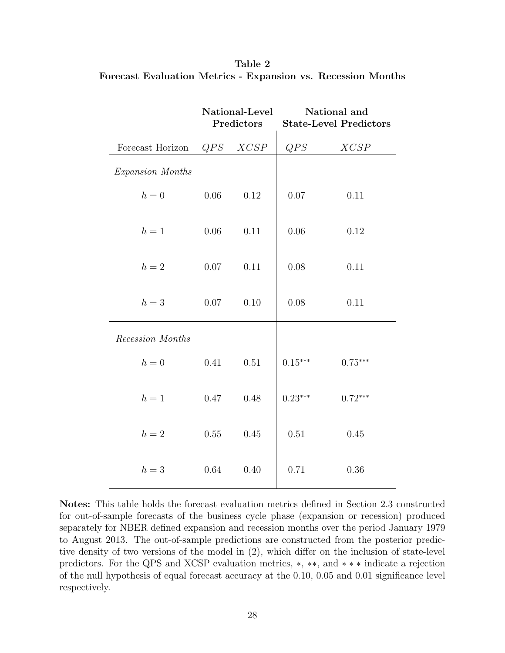|                  | National-Level<br>Predictors |          | National and<br><b>State-Level Predictors</b> |           |  |
|------------------|------------------------------|----------|-----------------------------------------------|-----------|--|
| Forecast Horizon | QPS                          | XCSP     | QPS                                           | XCSP      |  |
| Expansion Months |                              |          |                                               |           |  |
| $h=0$            | 0.06                         | 0.12     | $0.07\,$                                      | 0.11      |  |
| $h=1$            | 0.06                         | 0.11     | $0.06\,$                                      | 0.12      |  |
| $h=2$            | $0.07\,$                     | 0.11     | 0.08                                          | 0.11      |  |
| $h=3$            | $0.07\,$                     | $0.10\,$ | $0.08\,$                                      | 0.11      |  |
| Recession Months |                              |          |                                               |           |  |
| $h=0$            | 0.41                         | 0.51     | $0.15***$                                     | $0.75***$ |  |
| $h=1$            | 0.47                         | 0.48     | $0.23***$                                     | $0.72***$ |  |
| $h=2$            | 0.55                         | 0.45     | 0.51                                          | 0.45      |  |
| $h=3$            | 0.64                         | 0.40     | 0.71                                          | 0.36      |  |

Table 2 Forecast Evaluation Metrics - Expansion vs. Recession Months

Notes: This table holds the forecast evaluation metrics defined in Section 2.3 constructed for out-of-sample forecasts of the business cycle phase (expansion or recession) produced separately for NBER defined expansion and recession months over the period January 1979 to August 2013. The out-of-sample predictions are constructed from the posterior predictive density of two versions of the model in (2), which differ on the inclusion of state-level predictors. For the QPS and XCSP evaluation metrics, ∗, ∗∗, and ∗∗∗ indicate a rejection of the null hypothesis of equal forecast accuracy at the 0.10, 0.05 and 0.01 significance level respectively.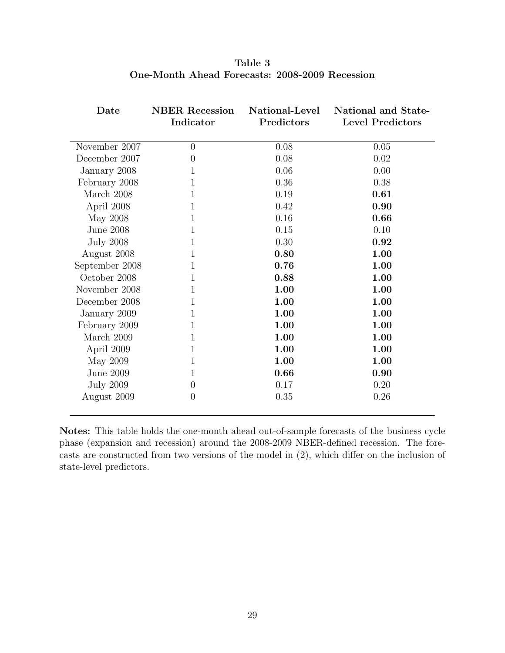| Date             | <b>NBER Recession</b><br>Indicator | National-Level<br>Predictors | National and State-<br><b>Level Predictors</b> |
|------------------|------------------------------------|------------------------------|------------------------------------------------|
| November 2007    | $\theta$                           | 0.08                         | 0.05                                           |
| December 2007    | 0                                  | 0.08                         | 0.02                                           |
| January 2008     | 1                                  | 0.06                         | 0.00                                           |
| February 2008    | 1                                  | 0.36                         | 0.38                                           |
| March 2008       | $\mathbf{1}$                       | 0.19                         | 0.61                                           |
| April 2008       | 1                                  | 0.42                         | 0.90                                           |
| May 2008         | 1                                  | 0.16                         | 0.66                                           |
| June 2008        | 1                                  | 0.15                         | 0.10                                           |
| <b>July 2008</b> | 1                                  | 0.30                         | 0.92                                           |
| August 2008      | 1                                  | 0.80                         | 1.00                                           |
| September 2008   | 1                                  | 0.76                         | 1.00                                           |
| October 2008     | 1                                  | 0.88                         | 1.00                                           |
| November 2008    | 1                                  | 1.00                         | 1.00                                           |
| December 2008    | 1                                  | 1.00                         | 1.00                                           |
| January 2009     | 1                                  | 1.00                         | 1.00                                           |
| February 2009    | 1                                  | 1.00                         | 1.00                                           |
| March 2009       | 1                                  | 1.00                         | 1.00                                           |
| April 2009       | 1                                  | 1.00                         | 1.00                                           |
| May 2009         | 1                                  | 1.00                         | 1.00                                           |
| June 2009        | 1                                  | 0.66                         | 0.90                                           |
| <b>July 2009</b> | $\theta$                           | 0.17                         | 0.20                                           |
| August 2009      | $\overline{0}$                     | 0.35                         | 0.26                                           |

Table 3 One-Month Ahead Forecasts: 2008-2009 Recession

Notes: This table holds the one-month ahead out-of-sample forecasts of the business cycle phase (expansion and recession) around the 2008-2009 NBER-defined recession. The forecasts are constructed from two versions of the model in (2), which differ on the inclusion of state-level predictors.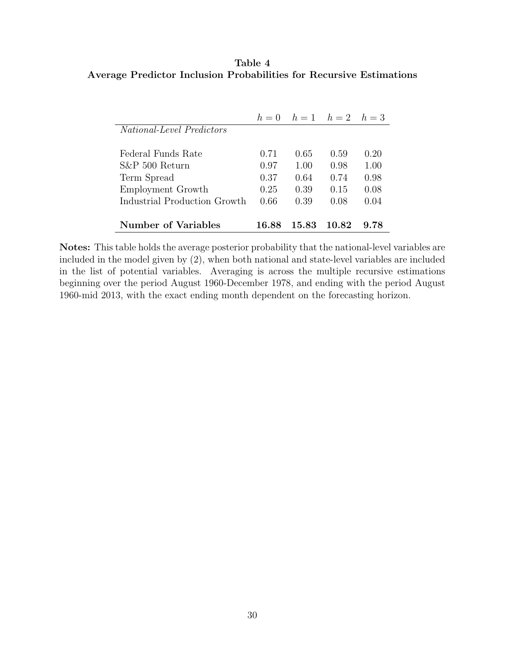## Table 4 Average Predictor Inclusion Probabilities for Recursive Estimations

|                                  | $h=0$ |       | $h = 1$ $h = 2$ $h = 3$ |      |
|----------------------------------|-------|-------|-------------------------|------|
| <i>National-Level Predictors</i> |       |       |                         |      |
|                                  |       |       |                         |      |
| Federal Funds Rate               | 0.71  | 0.65  | 0.59                    | 0.20 |
| $S\&P 500$ Return                | 0.97  | 1.00  | 0.98                    | 1.00 |
| Term Spread                      | 0.37  | 0.64  | 0.74                    | 0.98 |
| Employment Growth                | 0.25  | 0.39  | 0.15                    | 0.08 |
| Industrial Production Growth     | 0.66  | 0.39  | 0.08                    | 0.04 |
|                                  |       |       |                         |      |
| <b>Number of Variables</b>       | 16.88 | 15.83 | 10.82                   | 9.78 |

Notes: This table holds the average posterior probability that the national-level variables are included in the model given by (2), when both national and state-level variables are included in the list of potential variables. Averaging is across the multiple recursive estimations beginning over the period August 1960-December 1978, and ending with the period August 1960-mid 2013, with the exact ending month dependent on the forecasting horizon.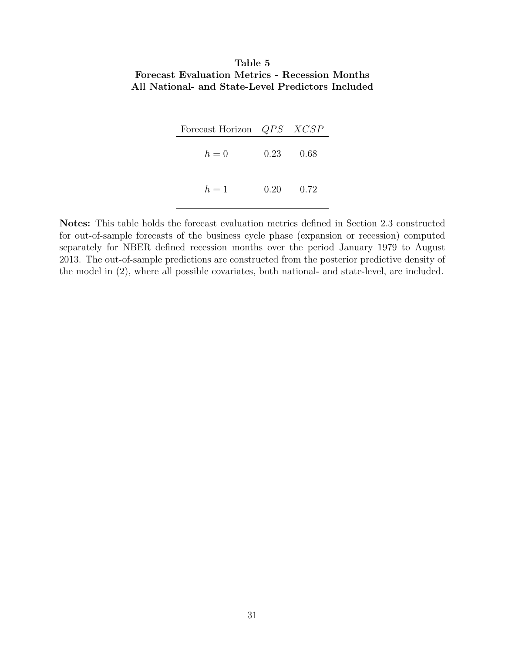## Table 5 Forecast Evaluation Metrics - Recession Months All National- and State-Level Predictors Included

| Forecast Horizon <i>QPS XCSP</i> |          |        |
|----------------------------------|----------|--------|
| $h=0$                            | $0.23 -$ | - 0.68 |
| $h=1$                            | $0.20 -$ | 0.72   |

Notes: This table holds the forecast evaluation metrics defined in Section 2.3 constructed for out-of-sample forecasts of the business cycle phase (expansion or recession) computed separately for NBER defined recession months over the period January 1979 to August 2013. The out-of-sample predictions are constructed from the posterior predictive density of the model in (2), where all possible covariates, both national- and state-level, are included.